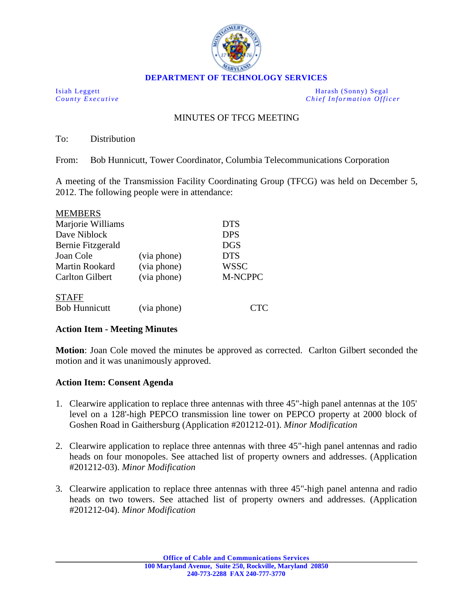

**DEPARTMENT OF TECHNOLOGY SERVICES**

Isiah Leggett Harash (Sonny) Segal<br>
County Executive Chief Information Office *Chief Information Officer* 

## MINUTES OF TFCG MEETING

To: Distribution

From: Bob Hunnicutt, Tower Coordinator, Columbia Telecommunications Corporation

A meeting of the Transmission Facility Coordinating Group (TFCG) was held on December 5, 2012. The following people were in attendance:

| <b>MEMBERS</b>         |             |             |
|------------------------|-------------|-------------|
| Marjorie Williams      |             | <b>DTS</b>  |
| Dave Niblock           |             | <b>DPS</b>  |
| Bernie Fitzgerald      |             | <b>DGS</b>  |
| Joan Cole              | (via phone) | <b>DTS</b>  |
| Martin Rookard         | (via phone) | <b>WSSC</b> |
| <b>Carlton Gilbert</b> | (via phone) | M-NCPPC     |
| <b>STAFF</b>           |             |             |
| <b>Bob Hunnicutt</b>   | (via phone) |             |

## **Action Item - Meeting Minutes**

**Motion**: Joan Cole moved the minutes be approved as corrected. Carlton Gilbert seconded the motion and it was unanimously approved.

## **Action Item: Consent Agenda**

- 1. Clearwire application to replace three antennas with three 45"-high panel antennas at the 105' level on a 128'-high PEPCO transmission line tower on PEPCO property at 2000 block of Goshen Road in Gaithersburg (Application #201212-01). *Minor Modification*
- 2. Clearwire application to replace three antennas with three 45"-high panel antennas and radio heads on four monopoles. See attached list of property owners and addresses. (Application #201212-03). *Minor Modification*
- 3. Clearwire application to replace three antennas with three 45"-high panel antenna and radio heads on two towers. See attached list of property owners and addresses. (Application #201212-04). *Minor Modification*